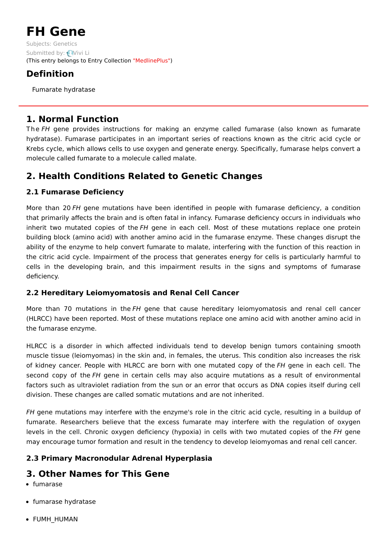# **FH Gene**

Subjects: [Genetics](https://encyclopedia.pub/item/subject/56) Submitted by: [Vivi](https://sciprofiles.com/profile/1156458) Li (This entry belongs to Entry Collection ["MedlinePlus"](https://encyclopedia.pub/entry/collection/24))

## **Definition**

Fumarate hydratase

## **1. Normal Function**

The FH gene provides instructions for making an enzyme called fumarase (also known as fumarate hydratase). Fumarase participates in an important series of reactions known as the citric acid cycle or Krebs cycle, which allows cells to use oxygen and generate energy. Specifically, fumarase helps convert a molecule called fumarate to a molecule called malate.

## **2. Health Conditions Related to Genetic Changes**

## **2.1 Fumarase Deficiency**

More than 20 FH gene mutations have been identified in people with fumarase deficiency, a condition that primarily affects the brain and is often fatal in infancy. Fumarase deficiency occurs in individuals who inherit two mutated copies of the FH gene in each cell. Most of these mutations replace one protein building block (amino acid) with another amino acid in the fumarase enzyme. These changes disrupt the ability of the enzyme to help convert fumarate to malate, interfering with the function of this reaction in the citric acid cycle. Impairment of the process that generates energy for cells is particularly harmful to cells in the developing brain, and this impairment results in the signs and symptoms of fumarase deficiency.

#### **2.2 Hereditary Leiomyomatosis and Renal Cell Cancer**

More than 70 mutations in the FH gene that cause hereditary leiomyomatosis and renal cell cancer (HLRCC) have been reported. Most of these mutations replace one amino acid with another amino acid in the fumarase enzyme.

HLRCC is a disorder in which affected individuals tend to develop benign tumors containing smooth muscle tissue (leiomyomas) in the skin and, in females, the uterus. This condition also increases the risk of kidney cancer. People with HLRCC are born with one mutated copy of the FH gene in each cell. The second copy of the FH gene in certain cells may also acquire mutations as a result of environmental factors such as ultraviolet radiation from the sun or an error that occurs as DNA copies itself during cell division. These changes are called somatic mutations and are not inherited.

FH gene mutations may interfere with the enzyme's role in the citric acid cycle, resulting in a buildup of fumarate. Researchers believe that the excess fumarate may interfere with the regulation of oxygen levels in the cell. Chronic oxygen deficiency (hypoxia) in cells with two mutated copies of the FH gene may encourage tumor formation and result in the tendency to develop leiomyomas and renal cell cancer.

## **2.3 Primary Macronodular Adrenal Hyperplasia**

# **3. Other Names for This Gene**

- fumarase
- fumarase hydratase
- FUMH\_HUMAN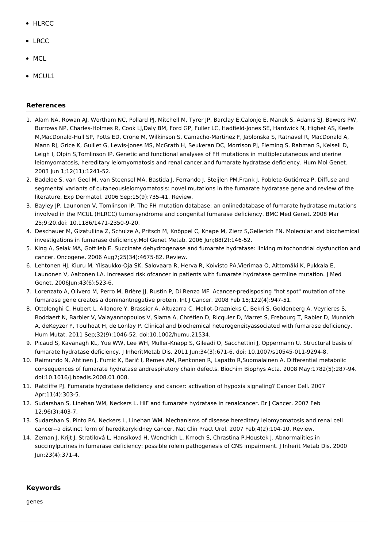- HLRCC
- LRCC
- MCL
- MCUL1

#### **References**

- 1. Alam NA, Rowan AJ, Wortham NC, Pollard PJ, Mitchell M, Tyrer JP, Barclay E,Calonje E, Manek S, Adams SJ, Bowers PW, Burrows NP, Charles-Holmes R, Cook LJ,Daly BM, Ford GP, Fuller LC, Hadfield-Jones SE, Hardwick N, Highet AS, Keefe M,MacDonald-Hull SP, Potts ED, Crone M, Wilkinson S, Camacho-Martinez F, Jablonska S, Ratnavel R, MacDonald A, Mann RJ, Grice K, Guillet G, Lewis-Jones MS, McGrath H, Seukeran DC, Morrison PJ, Fleming S, Rahman S, Kelsell D, Leigh I, Olpin S,Tomlinson IP. Genetic and functional analyses of FH mutations in multiplecutaneous and uterine leiomyomatosis, hereditary leiomyomatosis and renal cancer,and fumarate hydratase deficiency. Hum Mol Genet. 2003 Jun 1;12(11):1241-52.
- 2. Badeloe S, van Geel M, van Steensel MA, Bastida J, Ferrando J, Steijlen PM,Frank J, Poblete-Gutiérrez P. Diffuse and segmental variants of cutaneousleiomyomatosis: novel mutations in the fumarate hydratase gene and review of the literature. Exp Dermatol. 2006 Sep;15(9):735-41. Review.
- 3. Bayley JP, Launonen V, Tomlinson IP. The FH mutation database: an onlinedatabase of fumarate hydratase mutations involved in the MCUL (HLRCC) tumorsyndrome and congenital fumarase deficiency. BMC Med Genet. 2008 Mar 25;9:20.doi: 10.1186/1471-2350-9-20.
- 4. Deschauer M, Gizatullina Z, Schulze A, Pritsch M, Knöppel C, Knape M, Zierz S,Gellerich FN. Molecular and biochemical investigations in fumarase deficiency.Mol Genet Metab. 2006 Jun;88(2):146-52.
- 5. King A, Selak MA, Gottlieb E. Succinate dehydrogenase and fumarate hydratase: linking mitochondrial dysfunction and cancer. Oncogene. 2006 Aug7;25(34):4675-82. Review.
- 6. Lehtonen HJ, Kiuru M, Ylisaukko-Oja SK, Salovaara R, Herva R, Koivisto PA,Vierimaa O, Aittomäki K, Pukkala E, Launonen V, Aaltonen LA. Increased risk ofcancer in patients with fumarate hydratase germline mutation. J Med Genet. 2006Jun;43(6):523-6.
- 7. Lorenzato A, Olivero M, Perro M, Brière JJ, Rustin P, Di Renzo MF. Acancer-predisposing "hot spot" mutation of the fumarase gene creates a dominantnegative protein. Int J Cancer. 2008 Feb 15;122(4):947-51.
- 8. Ottolenghi C, Hubert L, Allanore Y, Brassier A, Altuzarra C, Mellot-Draznieks C, Bekri S, Goldenberg A, Veyrieres S, Boddaert N, Barbier V, Valayannopoulos V, Slama A, Chrétien D, Ricquier D, Marret S, Frebourg T, Rabier D, Munnich A, deKeyzer Y, Toulhoat H, de Lonlay P. Clinical and biochemical heterogeneityassociated with fumarase deficiency. Hum Mutat. 2011 Sep;32(9):1046-52. doi:10.1002/humu.21534.
- 9. Picaud S, Kavanagh KL, Yue WW, Lee WH, Muller-Knapp S, Gileadi O, Sacchettini J, Oppermann U. Structural basis of fumarate hydratase deficiency. J InheritMetab Dis. 2011 Jun;34(3):671-6. doi: 10.1007/s10545-011-9294-8.
- 10. Raimundo N, Ahtinen J, Fumić K, Barić I, Remes AM, Renkonen R, Lapatto R,Suomalainen A. Differential metabolic consequences of fumarate hydratase andrespiratory chain defects. Biochim Biophys Acta. 2008 May;1782(5):287-94. doi:10.1016/j.bbadis.2008.01.008.
- 11. Ratcliffe PJ. Fumarate hydratase deficiency and cancer: activation of hypoxia signaling? Cancer Cell. 2007 Apr;11(4):303-5.
- 12. Sudarshan S, Linehan WM, Neckers L. HIF and fumarate hydratase in renalcancer. Br J Cancer. 2007 Feb 12;96(3):403-7.
- 13. Sudarshan S, Pinto PA, Neckers L, Linehan WM. Mechanisms of disease:hereditary leiomyomatosis and renal cell cancer--a distinct form of hereditarykidney cancer. Nat Clin Pract Urol. 2007 Feb;4(2):104-10. Review.
- 14. Zeman J, Krijt J, Stratilová L, Hansíková H, Wenchich L, Kmoch S, Chrastina P,Houstek J. Abnormalities in succinylpurines in fumarase deficiency: possible rolein pathogenesis of CNS impairment. J Inherit Metab Dis. 2000 Jun;23(4):371-4.

#### **Keywords**

genes